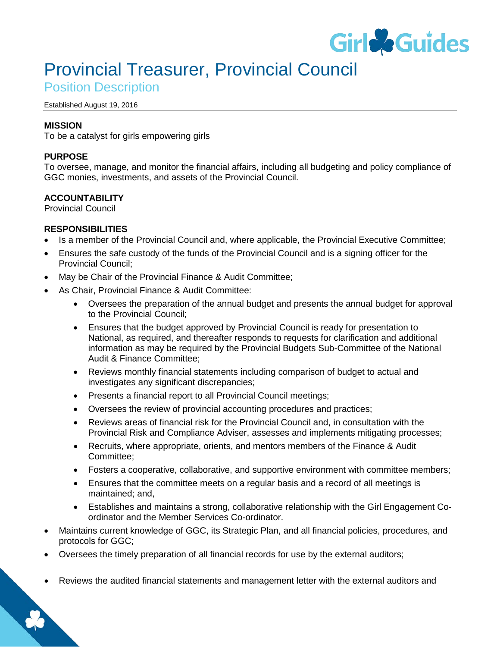

# Provincial Treasurer, Provincial Council

Position Description

#### Established August 19, 2016

## **MISSION**

To be a catalyst for girls empowering girls

## **PURPOSE**

To oversee, manage, and monitor the financial affairs, including all budgeting and policy compliance of GGC monies, investments, and assets of the Provincial Council.

## **ACCOUNTABILITY**

Provincial Council

## **RESPONSIBILITIES**

- Is a member of the Provincial Council and, where applicable, the Provincial Executive Committee;
- Ensures the safe custody of the funds of the Provincial Council and is a signing officer for the Provincial Council;
- May be Chair of the Provincial Finance & Audit Committee;
- As Chair, Provincial Finance & Audit Committee:
	- Oversees the preparation of the annual budget and presents the annual budget for approval to the Provincial Council;
	- Ensures that the budget approved by Provincial Council is ready for presentation to National, as required, and thereafter responds to requests for clarification and additional information as may be required by the Provincial Budgets Sub-Committee of the National Audit & Finance Committee;
	- Reviews monthly financial statements including comparison of budget to actual and investigates any significant discrepancies;
	- Presents a financial report to all Provincial Council meetings;
	- Oversees the review of provincial accounting procedures and practices;
	- Reviews areas of financial risk for the Provincial Council and, in consultation with the Provincial Risk and Compliance Adviser, assesses and implements mitigating processes;
	- Recruits, where appropriate, orients, and mentors members of the Finance & Audit Committee;
	- Fosters a cooperative, collaborative, and supportive environment with committee members;
	- Ensures that the committee meets on a regular basis and a record of all meetings is maintained; and,
	- Establishes and maintains a strong, collaborative relationship with the Girl Engagement Coordinator and the Member Services Co-ordinator.
- Maintains current knowledge of GGC, its Strategic Plan, and all financial policies, procedures, and protocols for GGC;
- Oversees the timely preparation of all financial records for use by the external auditors;
- Reviews the audited financial statements and management letter with the external auditors and